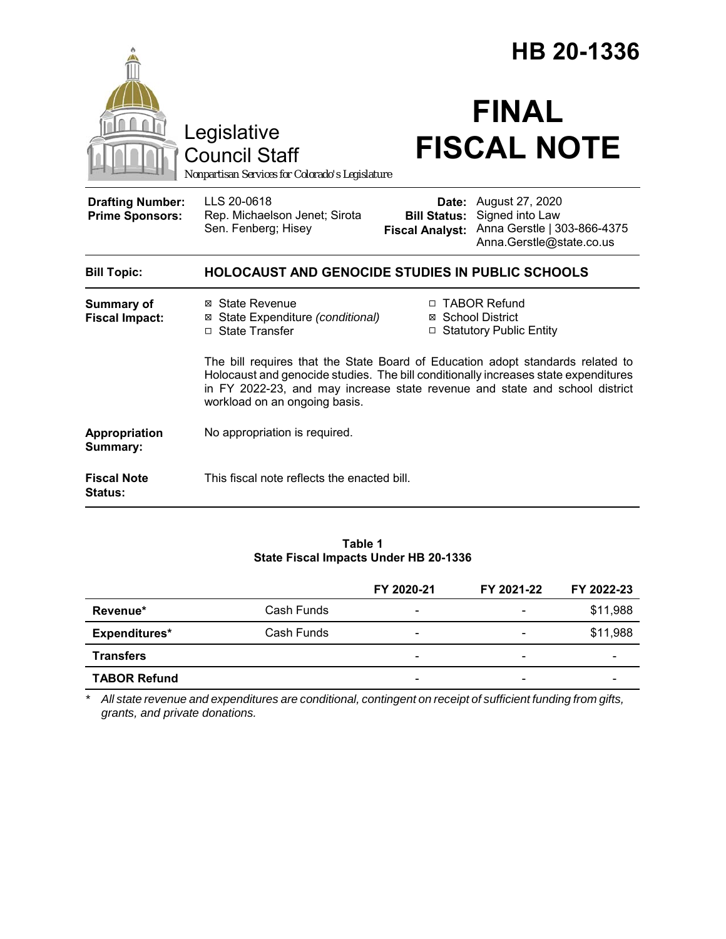|                                                   |                                                                                                                                                                                                                                                                                       | HB 20-1336                                    |                                                                                                            |  |  |
|---------------------------------------------------|---------------------------------------------------------------------------------------------------------------------------------------------------------------------------------------------------------------------------------------------------------------------------------------|-----------------------------------------------|------------------------------------------------------------------------------------------------------------|--|--|
|                                                   | Legislative<br><b>Council Staff</b><br>Nonpartisan Services for Colorado's Legislature                                                                                                                                                                                                |                                               | <b>FINAL</b><br><b>FISCAL NOTE</b>                                                                         |  |  |
| <b>Drafting Number:</b><br><b>Prime Sponsors:</b> | LLS 20-0618<br>Rep. Michaelson Jenet; Sirota<br>Sen. Fenberg; Hisey                                                                                                                                                                                                                   | <b>Bill Status:</b><br><b>Fiscal Analyst:</b> | <b>Date:</b> August 27, 2020<br>Signed into Law<br>Anna Gerstle   303-866-4375<br>Anna.Gerstle@state.co.us |  |  |
| <b>Bill Topic:</b>                                | <b>HOLOCAUST AND GENOCIDE STUDIES IN PUBLIC SCHOOLS</b>                                                                                                                                                                                                                               |                                               |                                                                                                            |  |  |
| <b>Summary of</b><br><b>Fiscal Impact:</b>        | ⊠ State Revenue<br>⊠ State Expenditure (conditional)<br>□ State Transfer                                                                                                                                                                                                              |                                               | □ TABOR Refund<br>⊠ School District<br>□ Statutory Public Entity                                           |  |  |
|                                                   | The bill requires that the State Board of Education adopt standards related to<br>Holocaust and genocide studies. The bill conditionally increases state expenditures<br>in FY 2022-23, and may increase state revenue and state and school district<br>workload on an ongoing basis. |                                               |                                                                                                            |  |  |
| Appropriation<br>Summary:                         | No appropriation is required.                                                                                                                                                                                                                                                         |                                               |                                                                                                            |  |  |
| <b>Fiscal Note</b><br>Status:                     | This fiscal note reflects the enacted bill.                                                                                                                                                                                                                                           |                                               |                                                                                                            |  |  |

### **Table 1 State Fiscal Impacts Under HB 20-1336**

|                     |            | FY 2020-21               | FY 2021-22 | FY 2022-23 |
|---------------------|------------|--------------------------|------------|------------|
| Revenue*            | Cash Funds | $\overline{\phantom{a}}$ |            | \$11,988   |
| Expenditures*       | Cash Funds | $\overline{\phantom{0}}$ |            | \$11,988   |
| <b>Transfers</b>    |            | -                        | -          |            |
| <b>TABOR Refund</b> |            | -                        |            |            |

*\* All state revenue and expenditures are conditional, contingent on receipt of sufficient funding from gifts, grants, and private donations.*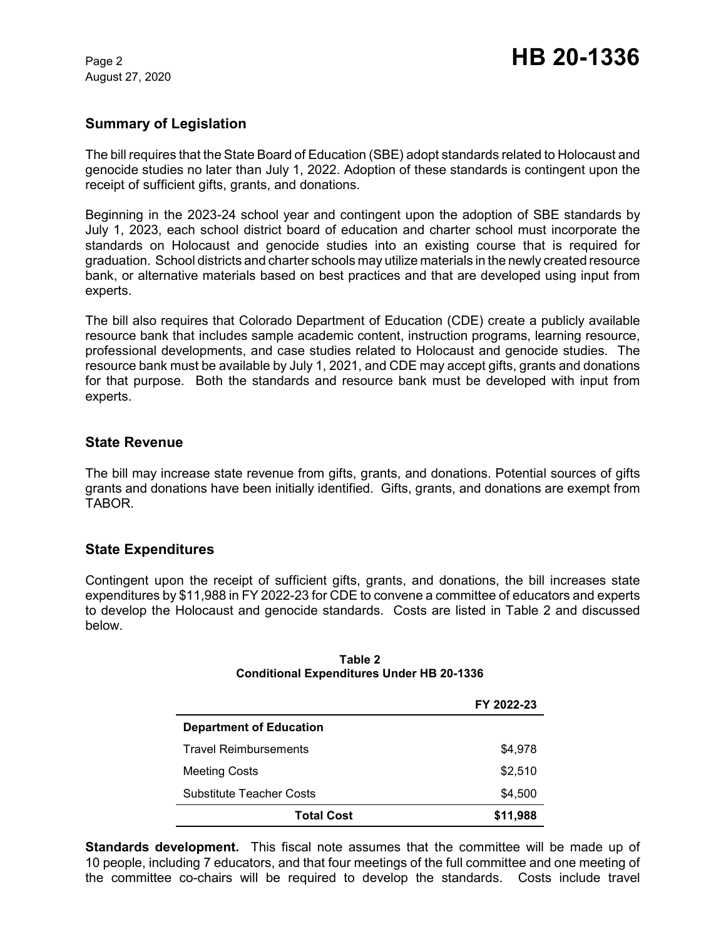August 27, 2020

## **Summary of Legislation**

The bill requires that the State Board of Education (SBE) adopt standards related to Holocaust and genocide studies no later than July 1, 2022. Adoption of these standards is contingent upon the receipt of sufficient gifts, grants, and donations.

Beginning in the 2023-24 school year and contingent upon the adoption of SBE standards by July 1, 2023, each school district board of education and charter school must incorporate the standards on Holocaust and genocide studies into an existing course that is required for graduation. School districts and charter schools may utilize materials in the newly created resource bank, or alternative materials based on best practices and that are developed using input from experts.

The bill also requires that Colorado Department of Education (CDE) create a publicly available resource bank that includes sample academic content, instruction programs, learning resource, professional developments, and case studies related to Holocaust and genocide studies. The resource bank must be available by July 1, 2021, and CDE may accept gifts, grants and donations for that purpose. Both the standards and resource bank must be developed with input from experts.

## **State Revenue**

The bill may increase state revenue from gifts, grants, and donations. Potential sources of gifts grants and donations have been initially identified. Gifts, grants, and donations are exempt from TABOR.

## **State Expenditures**

Contingent upon the receipt of sufficient gifts, grants, and donations, the bill increases state expenditures by \$11,988 in FY 2022-23 for CDE to convene a committee of educators and experts to develop the Holocaust and genocide standards. Costs are listed in Table 2 and discussed below.

|                                | FY 2022-23 |  |  |  |
|--------------------------------|------------|--|--|--|
| <b>Department of Education</b> |            |  |  |  |
| <b>Travel Reimbursements</b>   | \$4,978    |  |  |  |
| <b>Meeting Costs</b>           | \$2,510    |  |  |  |
| Substitute Teacher Costs       | \$4,500    |  |  |  |
| <b>Total Cost</b>              | \$11,988   |  |  |  |

#### **Table 2 Conditional Expenditures Under HB 20-1336**

**Standards development.** This fiscal note assumes that the committee will be made up of 10 people, including 7 educators, and that four meetings of the full committee and one meeting of the committee co-chairs will be required to develop the standards. Costs include travel